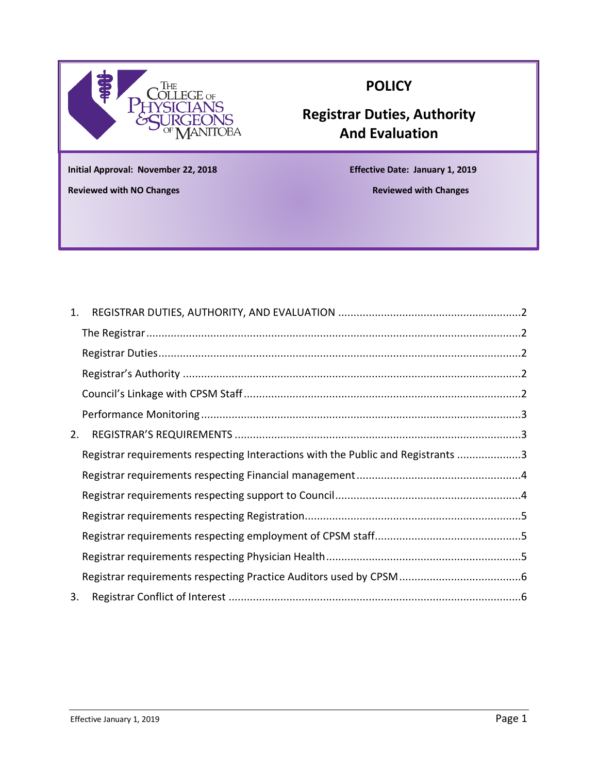

# **POLICY**

# **Registrar Duties, Authority And Evaluation**

**Initial Approval: November 22, 2018 Effective Date: January 1, 2019**

**Reviewed with NO Changes Reviewed with Changes**

**Appeal Guidelines**

| Registrar requirements respecting Interactions with the Public and Registrants 3 |                |
|----------------------------------------------------------------------------------|----------------|
|                                                                                  |                |
|                                                                                  |                |
|                                                                                  |                |
|                                                                                  |                |
|                                                                                  |                |
|                                                                                  |                |
|                                                                                  |                |
|                                                                                  | 1.<br>2.<br>3. |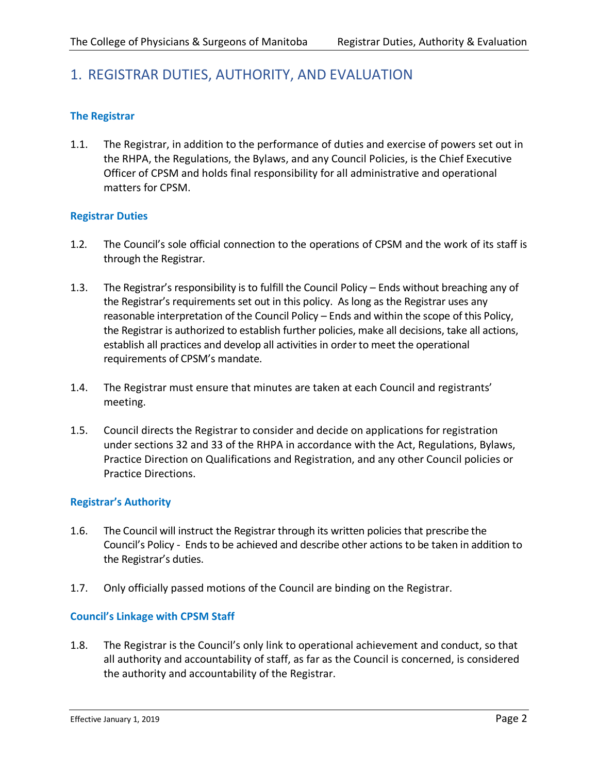# <span id="page-1-0"></span>1. REGISTRAR DUTIES, AUTHORITY, AND EVALUATION

# <span id="page-1-1"></span>**The Registrar**

1.1. The Registrar, in addition to the performance of duties and exercise of powers set out in the RHPA, the Regulations, the Bylaws, and any Council Policies, is the Chief Executive Officer of CPSM and holds final responsibility for all administrative and operational matters for CPSM.

# <span id="page-1-2"></span>**Registrar Duties**

- 1.2. The Council's sole official connection to the operations of CPSM and the work of its staff is through the Registrar.
- 1.3. The Registrar's responsibility is to fulfill the Council Policy Ends without breaching any of the Registrar's requirements set out in this policy. As long as the Registrar uses any reasonable interpretation of the Council Policy – Ends and within the scope of this Policy, the Registrar is authorized to establish further policies, make all decisions, take all actions, establish all practices and develop all activities in order to meet the operational requirements of CPSM's mandate.
- 1.4. The Registrar must ensure that minutes are taken at each Council and registrants' meeting.
- 1.5. Council directs the Registrar to consider and decide on applications for registration under sections 32 and 33 of the RHPA in accordance with the Act, Regulations, Bylaws, Practice Direction on Qualifications and Registration, and any other Council policies or Practice Directions.

# <span id="page-1-3"></span>**Registrar's Authority**

- 1.6. The Council will instruct the Registrar through its written policies that prescribe the Council's Policy - Ends to be achieved and describe other actions to be taken in addition to the Registrar's duties.
- 1.7. Only officially passed motions of the Council are binding on the Registrar.

#### <span id="page-1-4"></span>**Council's Linkage with CPSM Staff**

1.8. The Registrar is the Council's only link to operational achievement and conduct, so that all authority and accountability of staff, as far as the Council is concerned, is considered the authority and accountability of the Registrar.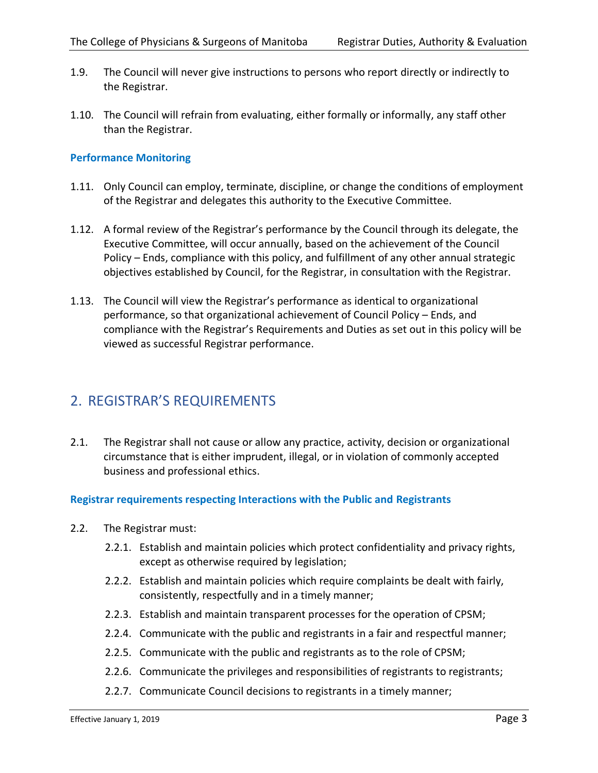- 1.9. The Council will never give instructions to persons who report directly or indirectly to the Registrar.
- 1.10. The Council will refrain from evaluating, either formally or informally, any staff other than the Registrar.

# <span id="page-2-0"></span>**Performance Monitoring**

- 1.11. Only Council can employ, terminate, discipline, or change the conditions of employment of the Registrar and delegates this authority to the Executive Committee.
- 1.12. A formal review of the Registrar's performance by the Council through its delegate, the Executive Committee, will occur annually, based on the achievement of the Council Policy – Ends, compliance with this policy, and fulfillment of any other annual strategic objectives established by Council, for the Registrar, in consultation with the Registrar.
- 1.13. The Council will view the Registrar's performance as identical to organizational performance, so that organizational achievement of Council Policy – Ends, and compliance with the Registrar's Requirements and Duties as set out in this policy will be viewed as successful Registrar performance.

# <span id="page-2-1"></span>2. REGISTRAR'S REQUIREMENTS

2.1. The Registrar shall not cause or allow any practice, activity, decision or organizational circumstance that is either imprudent, illegal, or in violation of commonly accepted business and professional ethics.

# <span id="page-2-2"></span>**Registrar requirements respecting Interactions with the Public and Registrants**

- 2.2. The Registrar must:
	- 2.2.1. Establish and maintain policies which protect confidentiality and privacy rights, except as otherwise required by legislation;
	- 2.2.2. Establish and maintain policies which require complaints be dealt with fairly, consistently, respectfully and in a timely manner;
	- 2.2.3. Establish and maintain transparent processes for the operation of CPSM;
	- 2.2.4. Communicate with the public and registrants in a fair and respectful manner;
	- 2.2.5. Communicate with the public and registrants as to the role of CPSM;
	- 2.2.6. Communicate the privileges and responsibilities of registrants to registrants;
	- 2.2.7. Communicate Council decisions to registrants in a timely manner;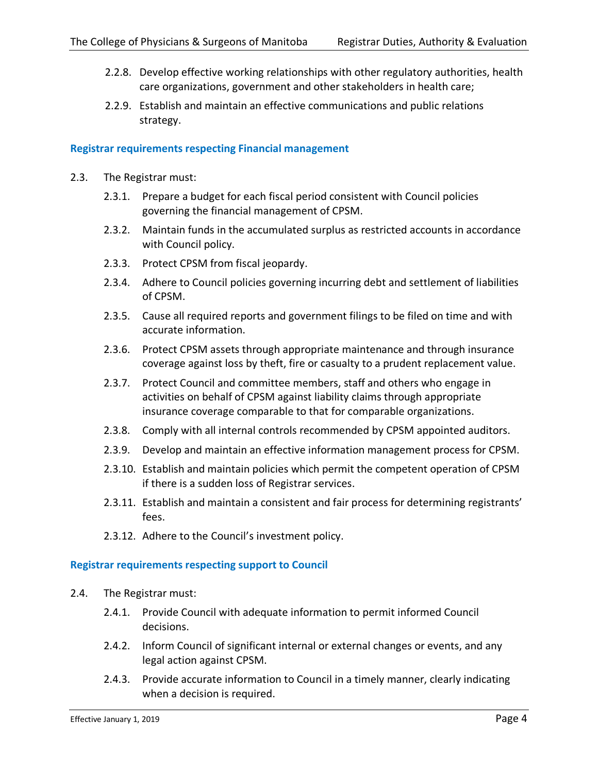- 2.2.8. Develop effective working relationships with other regulatory authorities, health care organizations, government and other stakeholders in health care;
- 2.2.9. Establish and maintain an effective communications and public relations strategy.

#### <span id="page-3-0"></span>**Registrar requirements respecting Financial management**

- 2.3. The Registrar must:
	- 2.3.1. Prepare a budget for each fiscal period consistent with Council policies governing the financial management of CPSM.
	- 2.3.2. Maintain funds in the accumulated surplus as restricted accounts in accordance with Council policy.
	- 2.3.3. Protect CPSM from fiscal jeopardy.
	- 2.3.4. Adhere to Council policies governing incurring debt and settlement of liabilities of CPSM.
	- 2.3.5. Cause all required reports and government filings to be filed on time and with accurate information.
	- 2.3.6. Protect CPSM assets through appropriate maintenance and through insurance coverage against loss by theft, fire or casualty to a prudent replacement value.
	- 2.3.7. Protect Council and committee members, staff and others who engage in activities on behalf of CPSM against liability claims through appropriate insurance coverage comparable to that for comparable organizations.
	- 2.3.8. Comply with all internal controls recommended by CPSM appointed auditors.
	- 2.3.9. Develop and maintain an effective information management process for CPSM.
	- 2.3.10. Establish and maintain policies which permit the competent operation of CPSM if there is a sudden loss of Registrar services.
	- 2.3.11. Establish and maintain a consistent and fair process for determining registrants' fees.
	- 2.3.12. Adhere to the Council's investment policy.

#### <span id="page-3-1"></span>**Registrar requirements respecting support to Council**

- 2.4. The Registrar must:
	- 2.4.1. Provide Council with adequate information to permit informed Council decisions.
	- 2.4.2. Inform Council of significant internal or external changes or events, and any legal action against CPSM.
	- 2.4.3. Provide accurate information to Council in a timely manner, clearly indicating when a decision is required.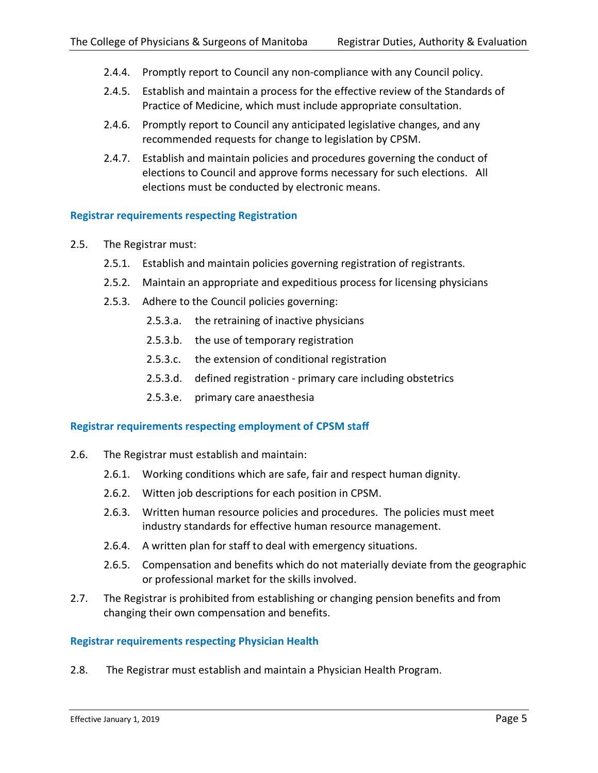- 2.4.4. Promptly report to Council any non-compliance with any Council policy.
- 2.4.5. Establish and maintain a process for the effective review of the Standards of Practice of Medicine, which must include appropriate consultation.
- 2.4.6. Promptly report to Council any anticipated legislative changes, and any recommended requests for change to legislation by CPSM.
- 2.4.7. Establish and maintain policies and procedures governing the conduct of elections to Council and approve forms necessary for such elections. All elections must be conducted by electronic means.

# <span id="page-4-0"></span>**Registrar requirements respecting Registration**

- 2.5. The Registrar must:
	- 2.5.1. Establish and maintain policies governing registration of registrants.
	- 2.5.2. Maintain an appropriate and expeditious process for licensing physicians
	- 2.5.3. Adhere to the Council policies governing:
		- 2.5.3.a. the retraining of inactive physicians
		- 2.5.3.b. the use of temporary registration
		- 2.5.3.c. the extension of conditional registration
		- 2.5.3.d. defined registration primary care including obstetrics
		- 2.5.3.e. primary care anaesthesia

# <span id="page-4-1"></span>**Registrar requirements respecting employment of CPSM staff**

- 2.6. The Registrar must establish and maintain:
	- 2.6.1. Working conditions which are safe, fair and respect human dignity.
	- 2.6.2. Witten job descriptions for each position in CPSM.
	- 2.6.3. Written human resource policies and procedures. The policies must meet industry standards for effective human resource management.
	- 2.6.4. A written plan for staff to deal with emergency situations.
	- 2.6.5. Compensation and benefits which do not materially deviate from the geographic or professional market for the skills involved.
- 2.7. The Registrar is prohibited from establishing or changing pension benefits and from changing their own compensation and benefits.

# <span id="page-4-2"></span>**Registrar requirements respecting Physician Health**

2.8. The Registrar must establish and maintain a Physician Health Program.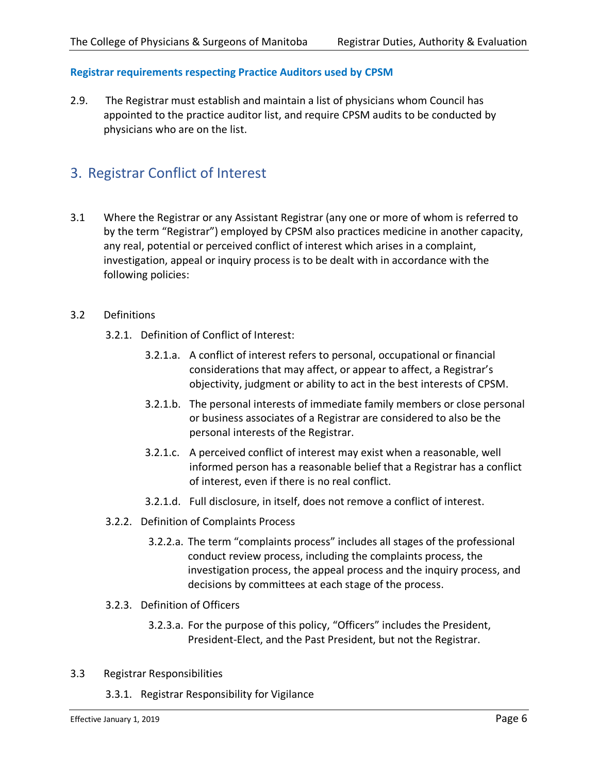# <span id="page-5-0"></span>**Registrar requirements respecting Practice Auditors used by CPSM**

2.9. The Registrar must establish and maintain a list of physicians whom Council has appointed to the practice auditor list, and require CPSM audits to be conducted by physicians who are on the list.

# <span id="page-5-1"></span>3. Registrar Conflict of Interest

3.1 Where the Registrar or any Assistant Registrar (any one or more of whom is referred to by the term "Registrar") employed by CPSM also practices medicine in another capacity, any real, potential or perceived conflict of interest which arises in a complaint, investigation, appeal or inquiry process is to be dealt with in accordance with the following policies:

# 3.2 Definitions

- 3.2.1. Definition of Conflict of Interest:
	- 3.2.1.a. A conflict of interest refers to personal, occupational or financial considerations that may affect, or appear to affect, a Registrar's objectivity, judgment or ability to act in the best interests of CPSM.
	- 3.2.1.b. The personal interests of immediate family members or close personal or business associates of a Registrar are considered to also be the personal interests of the Registrar.
	- 3.2.1.c. A perceived conflict of interest may exist when a reasonable, well informed person has a reasonable belief that a Registrar has a conflict of interest, even if there is no real conflict.
	- 3.2.1.d. Full disclosure, in itself, does not remove a conflict of interest.
- 3.2.2. Definition of Complaints Process
	- 3.2.2.a. The term "complaints process" includes all stages of the professional conduct review process, including the complaints process, the investigation process, the appeal process and the inquiry process, and decisions by committees at each stage of the process.

# 3.2.3. Definition of Officers

- 3.2.3.a. For the purpose of this policy, "Officers" includes the President, President-Elect, and the Past President, but not the Registrar.
- 3.3 Registrar Responsibilities
	- 3.3.1. Registrar Responsibility for Vigilance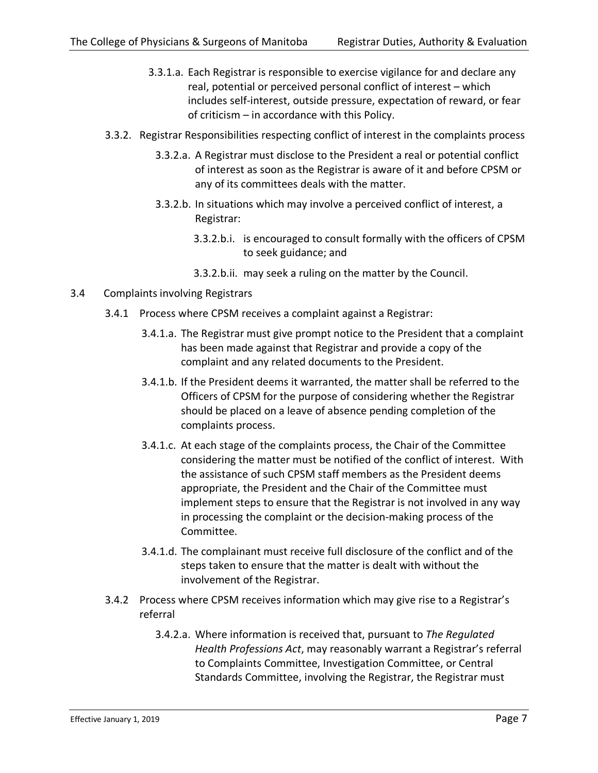- 3.3.1.a. Each Registrar is responsible to exercise vigilance for and declare any real, potential or perceived personal conflict of interest – which includes self-interest, outside pressure, expectation of reward, or fear of criticism – in accordance with this Policy.
- 3.3.2. Registrar Responsibilities respecting conflict of interest in the complaints process
	- 3.3.2.a. A Registrar must disclose to the President a real or potential conflict of interest as soon as the Registrar is aware of it and before CPSM or any of its committees deals with the matter.
	- 3.3.2.b. In situations which may involve a perceived conflict of interest, a Registrar:
		- 3.3.2.b.i. is encouraged to consult formally with the officers of CPSM to seek guidance; and
		- 3.3.2.b.ii. may seek a ruling on the matter by the Council.
- 3.4 Complaints involving Registrars
	- 3.4.1 Process where CPSM receives a complaint against a Registrar:
		- 3.4.1.a. The Registrar must give prompt notice to the President that a complaint has been made against that Registrar and provide a copy of the complaint and any related documents to the President.
		- 3.4.1.b. If the President deems it warranted, the matter shall be referred to the Officers of CPSM for the purpose of considering whether the Registrar should be placed on a leave of absence pending completion of the complaints process.
		- 3.4.1.c. At each stage of the complaints process, the Chair of the Committee considering the matter must be notified of the conflict of interest. With the assistance of such CPSM staff members as the President deems appropriate, the President and the Chair of the Committee must implement steps to ensure that the Registrar is not involved in any way in processing the complaint or the decision-making process of the Committee.
		- 3.4.1.d. The complainant must receive full disclosure of the conflict and of the steps taken to ensure that the matter is dealt with without the involvement of the Registrar.
	- 3.4.2 Process where CPSM receives information which may give rise to a Registrar's referral
		- 3.4.2.a. Where information is received that, pursuant to *The Regulated Health Professions Act*, may reasonably warrant a Registrar's referral to Complaints Committee, Investigation Committee, or Central Standards Committee, involving the Registrar, the Registrar must